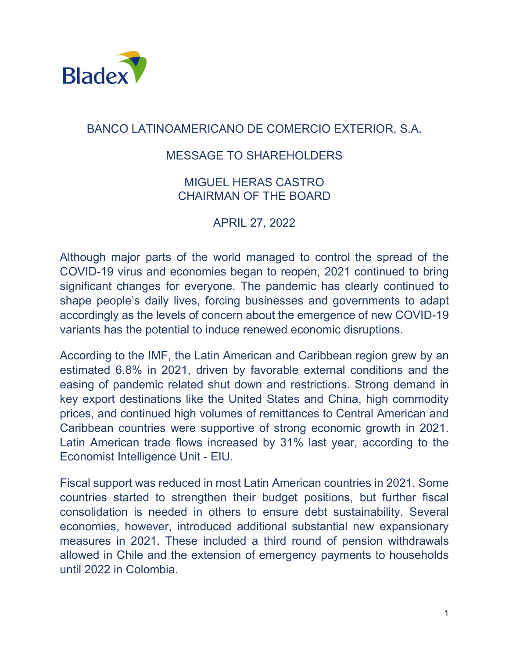

## BANCO LATINOAMERICANO DE COMERCIO EXTERIOR, S.A.

## MESSAGE TO SHAREHOLDERS

## MIGUEL HERAS CASTRO CHAIRMAN OF THE BOARD

APRIL 27, 2022

Although major parts of the world managed to control the spread of the COVID-19 virus and economies began to reopen, 2021 continued to bring significant changes for everyone. The pandemic has clearly continued to shape people's daily lives, forcing businesses and governments to adapt accordingly as the levels of concern about the emergence of new COVID-19 variants has the potential to induce renewed economic disruptions.

According to the IMF, the Latin American and Caribbean region grew by an estimated 6.8% in 2021, driven by favorable external conditions and the easing of pandemic related shut down and restrictions. Strong demand in key export destinations like the United States and China, high commodity prices, and continued high volumes of remittances to Central American and Caribbean countries were supportive of strong economic growth in 2021. Latin American trade flows increased by 31% last year, according to the Economist Intelligence Unit - EIU.

Fiscal support was reduced in most Latin American countries in 2021. Some countries started to strengthen their budget positions, but further fiscal consolidation is needed in others to ensure debt sustainability. Several economies, however, introduced additional substantial new expansionary measures in 2021. These included a third round of pension withdrawals allowed in Chile and the extension of emergency payments to households until 2022 in Colombia.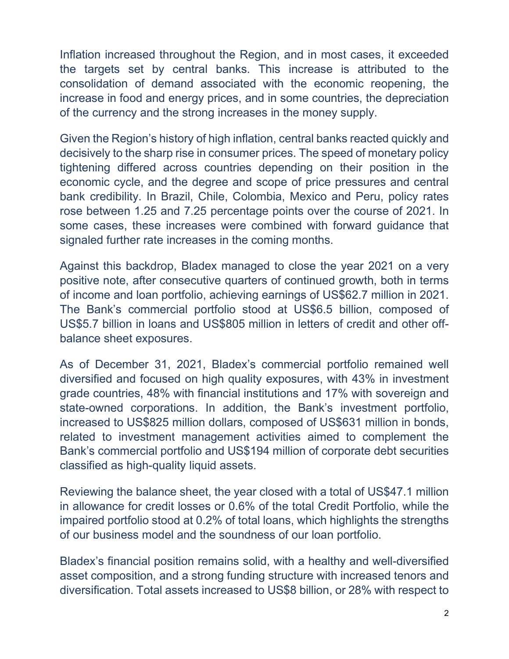Inflation increased throughout the Region, and in most cases, it exceeded the targets set by central banks. This increase is attributed to the consolidation of demand associated with the economic reopening, the increase in food and energy prices, and in some countries, the depreciation of the currency and the strong increases in the money supply.

Given the Region's history of high inflation, central banks reacted quickly and decisively to the sharp rise in consumer prices. The speed of monetary policy tightening differed across countries depending on their position in the economic cycle, and the degree and scope of price pressures and central bank credibility. In Brazil, Chile, Colombia, Mexico and Peru, policy rates rose between 1.25 and 7.25 percentage points over the course of 2021. In some cases, these increases were combined with forward guidance that signaled further rate increases in the coming months.

Against this backdrop, Bladex managed to close the year 2021 on a very positive note, after consecutive quarters of continued growth, both in terms of income and loan portfolio, achieving earnings of US\$62.7 million in 2021. The Bank's commercial portfolio stood at US\$6.5 billion, composed of US\$5.7 billion in loans and US\$805 million in letters of credit and other offbalance sheet exposures.

As of December 31, 2021, Bladex's commercial portfolio remained well diversified and focused on high quality exposures, with 43% in investment grade countries, 48% with financial institutions and 17% with sovereign and state-owned corporations. In addition, the Bank's investment portfolio, increased to US\$825 million dollars, composed of US\$631 million in bonds, related to investment management activities aimed to complement the Bank's commercial portfolio and US\$194 million of corporate debt securities classified as high-quality liquid assets.

Reviewing the balance sheet, the year closed with a total of US\$47.1 million in allowance for credit losses or 0.6% of the total Credit Portfolio, while the impaired portfolio stood at 0.2% of total loans, which highlights the strengths of our business model and the soundness of our loan portfolio.

Bladex's financial position remains solid, with a healthy and well-diversified asset composition, and a strong funding structure with increased tenors and diversification. Total assets increased to US\$8 billion, or 28% with respect to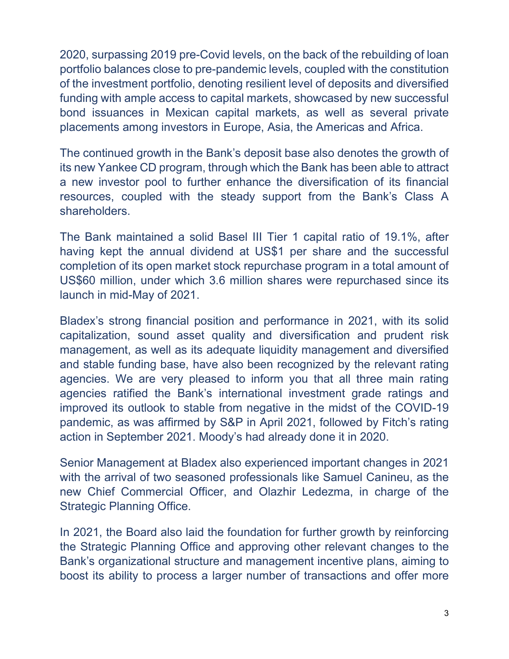2020, surpassing 2019 pre-Covid levels, on the back of the rebuilding of loan portfolio balances close to pre-pandemic levels, coupled with the constitution of the investment portfolio, denoting resilient level of deposits and diversified funding with ample access to capital markets, showcased by new successful bond issuances in Mexican capital markets, as well as several private placements among investors in Europe, Asia, the Americas and Africa.

The continued growth in the Bank's deposit base also denotes the growth of its new Yankee CD program, through which the Bank has been able to attract a new investor pool to further enhance the diversification of its financial resources, coupled with the steady support from the Bank's Class A shareholders.

The Bank maintained a solid Basel III Tier 1 capital ratio of 19.1%, after having kept the annual dividend at US\$1 per share and the successful completion of its open market stock repurchase program in a total amount of US\$60 million, under which 3.6 million shares were repurchased since its launch in mid-May of 2021.

Bladex's strong financial position and performance in 2021, with its solid capitalization, sound asset quality and diversification and prudent risk management, as well as its adequate liquidity management and diversified and stable funding base, have also been recognized by the relevant rating agencies. We are very pleased to inform you that all three main rating agencies ratified the Bank's international investment grade ratings and improved its outlook to stable from negative in the midst of the COVID-19 pandemic, as was affirmed by S&P in April 2021, followed by Fitch's rating action in September 2021. Moody's had already done it in 2020.

Senior Management at Bladex also experienced important changes in 2021 with the arrival of two seasoned professionals like Samuel Canineu, as the new Chief Commercial Officer, and Olazhir Ledezma, in charge of the Strategic Planning Office.

In 2021, the Board also laid the foundation for further growth by reinforcing the Strategic Planning Office and approving other relevant changes to the Bank's organizational structure and management incentive plans, aiming to boost its ability to process a larger number of transactions and offer more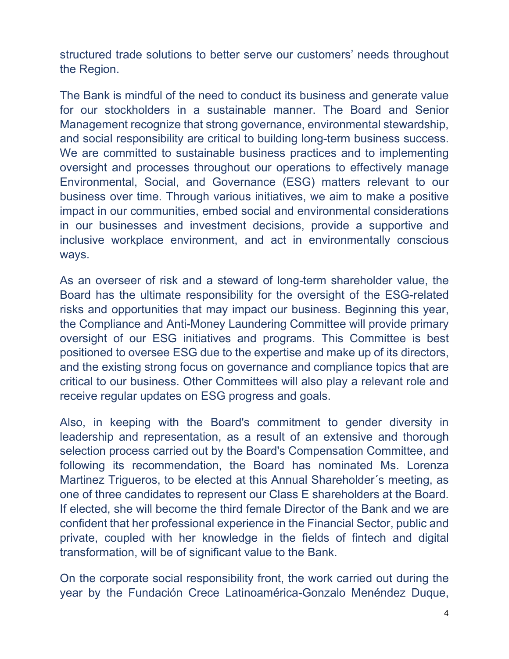structured trade solutions to better serve our customers' needs throughout the Region.

The Bank is mindful of the need to conduct its business and generate value for our stockholders in a sustainable manner. The Board and Senior Management recognize that strong governance, environmental stewardship, and social responsibility are critical to building long-term business success. We are committed to sustainable business practices and to implementing oversight and processes throughout our operations to effectively manage Environmental, Social, and Governance (ESG) matters relevant to our business over time. Through various initiatives, we aim to make a positive impact in our communities, embed social and environmental considerations in our businesses and investment decisions, provide a supportive and inclusive workplace environment, and act in environmentally conscious ways.

As an overseer of risk and a steward of long-term shareholder value, the Board has the ultimate responsibility for the oversight of the ESG-related risks and opportunities that may impact our business. Beginning this year, the Compliance and Anti-Money Laundering Committee will provide primary oversight of our ESG initiatives and programs. This Committee is best positioned to oversee ESG due to the expertise and make up of its directors, and the existing strong focus on governance and compliance topics that are critical to our business. Other Committees will also play a relevant role and receive regular updates on ESG progress and goals.

Also, in keeping with the Board's commitment to gender diversity in leadership and representation, as a result of an extensive and thorough selection process carried out by the Board's Compensation Committee, and following its recommendation, the Board has nominated Ms. Lorenza Martinez Trigueros, to be elected at this Annual Shareholder´s meeting, as one of three candidates to represent our Class E shareholders at the Board. If elected, she will become the third female Director of the Bank and we are confident that her professional experience in the Financial Sector, public and private, coupled with her knowledge in the fields of fintech and digital transformation, will be of significant value to the Bank.

On the corporate social responsibility front, the work carried out during the year by the Fundación Crece Latinoamérica-Gonzalo Menéndez Duque,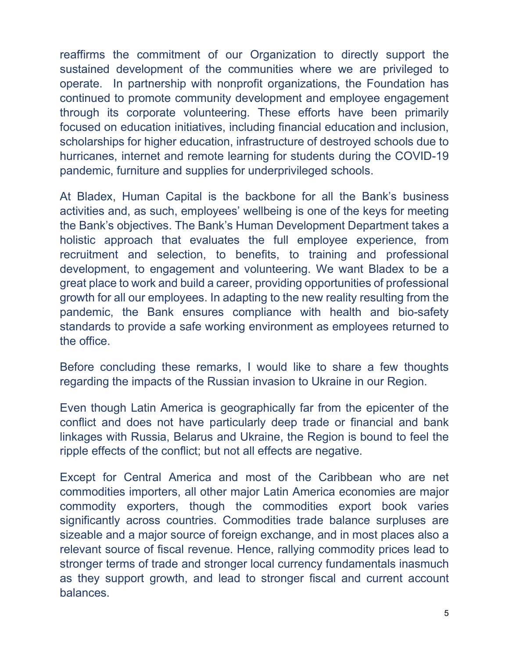reaffirms the commitment of our Organization to directly support the sustained development of the communities where we are privileged to operate. In partnership with nonprofit organizations, the Foundation has continued to promote community development and employee engagement through its corporate volunteering. These efforts have been primarily focused on education initiatives, including financial education and inclusion, scholarships for higher education, infrastructure of destroyed schools due to hurricanes, internet and remote learning for students during the COVID-19 pandemic, furniture and supplies for underprivileged schools.

At Bladex, Human Capital is the backbone for all the Bank's business activities and, as such, employees' wellbeing is one of the keys for meeting the Bank's objectives. The Bank's Human Development Department takes a holistic approach that evaluates the full employee experience, from recruitment and selection, to benefits, to training and professional development, to engagement and volunteering. We want Bladex to be a great place to work and build a career, providing opportunities of professional growth for all our employees. In adapting to the new reality resulting from the pandemic, the Bank ensures compliance with health and bio-safety standards to provide a safe working environment as employees returned to the office.

Before concluding these remarks, I would like to share a few thoughts regarding the impacts of the Russian invasion to Ukraine in our Region.

Even though Latin America is geographically far from the epicenter of the conflict and does not have particularly deep trade or financial and bank linkages with Russia, Belarus and Ukraine, the Region is bound to feel the ripple effects of the conflict; but not all effects are negative.

Except for Central America and most of the Caribbean who are net commodities importers, all other major Latin America economies are major commodity exporters, though the commodities export book varies significantly across countries. Commodities trade balance surpluses are sizeable and a major source of foreign exchange, and in most places also a relevant source of fiscal revenue. Hence, rallying commodity prices lead to stronger terms of trade and stronger local currency fundamentals inasmuch as they support growth, and lead to stronger fiscal and current account balances.